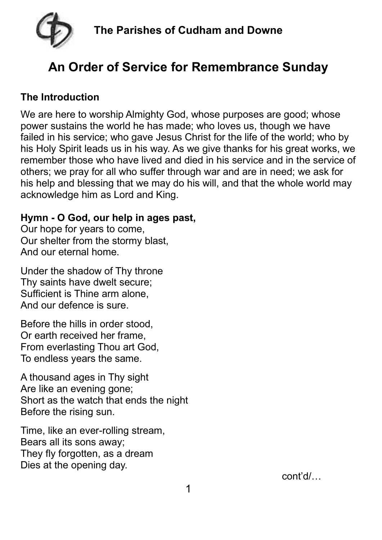

# **An Order of Service for Remembrance Sunday**

#### **The Introduction**

We are here to worship Almighty God, whose purposes are good; whose power sustains the world he has made; who loves us, though we have failed in his service; who gave Jesus Christ for the life of the world; who by his Holy Spirit leads us in his way. As we give thanks for his great works, we remember those who have lived and died in his service and in the service of others; we pray for all who suffer through war and are in need; we ask for his help and blessing that we may do his will, and that the whole world may acknowledge him as Lord and King.

#### **Hymn - O God, our help in ages past,**

Our hope for years to come, Our shelter from the stormy blast, And our eternal home.

Under the shadow of Thy throne Thy saints have dwelt secure; Sufficient is Thine arm alone, And our defence is sure.

Before the hills in order stood, Or earth received her frame, From everlasting Thou art God, To endless years the same.

A thousand ages in Thy sight Are like an evening gone; Short as the watch that ends the night Before the rising sun.

Time, like an ever-rolling stream, Bears all its sons away; They fly forgotten, as a dream Dies at the opening day.

cont'd/…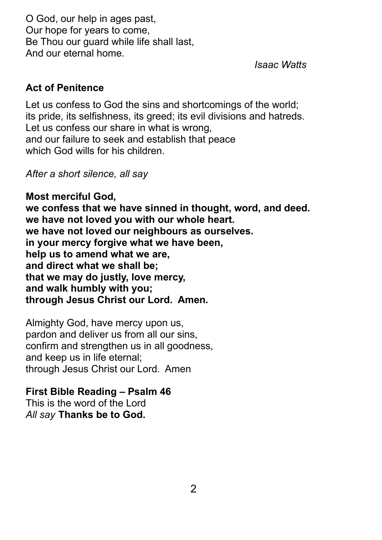O God, our help in ages past, Our hope for years to come, Be Thou our quard while life shall last, And our eternal home.

*Isaac Watts*

#### **Act of Penitence**

Let us confess to God the sins and shortcomings of the world; its pride, its selfishness, its greed; its evil divisions and hatreds. Let us confess our share in what is wrong, and our failure to seek and establish that peace which God wills for his children.

*After a short silence, all say*

**Most merciful God, we confess that we have sinned in thought, word, and deed. we have not loved you with our whole heart. we have not loved our neighbours as ourselves. in your mercy forgive what we have been, help us to amend what we are, and direct what we shall be; that we may do justly, love mercy, and walk humbly with you; through Jesus Christ our Lord. Amen.**

Almighty God, have mercy upon us, pardon and deliver us from all our sins, confirm and strengthen us in all goodness, and keep us in life eternal; through Jesus Christ our Lord. Amen

### **First Bible Reading – Psalm 46**

This is the word of the Lord *All say* **Thanks be to God.**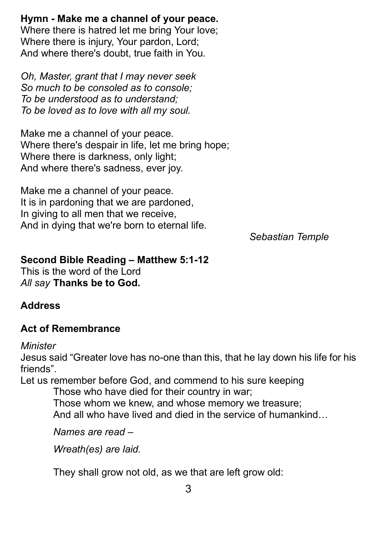**Hymn - Make me a channel of your peace.**

Where there is hatred let me bring Your love; Where there is injury, Your pardon, Lord; And where there's doubt, true faith in You.

*Oh, Master, grant that I may never seek So much to be consoled as to console; To be understood as to understand; To be loved as to love with all my soul.*

Make me a channel of your peace. Where there's despair in life, let me bring hope; Where there is darkness, only light; And where there's sadness, ever joy.

Make me a channel of your peace. It is in pardoning that we are pardoned, In giving to all men that we receive, And in dying that we're born to eternal life.

*Sebastian Temple*

#### **Second Bible Reading – Matthew 5:1-12**

This is the word of the Lord *All say* **Thanks be to God.**

### **Address**

### **Act of Remembrance**

#### *Minister*

Jesus said "Greater love has no-one than this, that he lay down his life for his friends".

Let us remember before God, and commend to his sure keeping

Those who have died for their country in war;

Those whom we knew, and whose memory we treasure; And all who have lived and died in the service of humankind…

*Names are read –*

*Wreath(es) are laid.*

They shall grow not old, as we that are left grow old: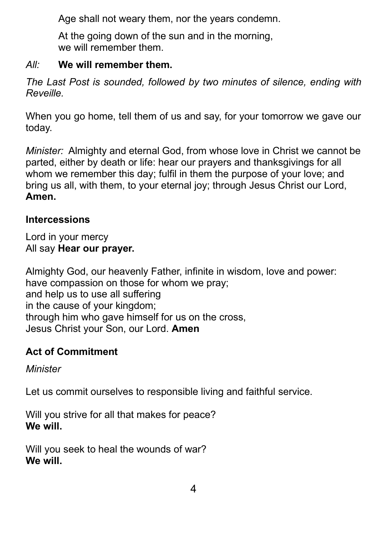Age shall not weary them, nor the years condemn.

At the going down of the sun and in the morning. we will remember them.

### *All:* **We will remember them.**

*The Last Post is sounded, followed by two minutes of silence, ending with Reveille.*

When you go home, tell them of us and say, for your tomorrow we gave our today.

*Minister:* Almighty and eternal God, from whose love in Christ we cannot be parted, either by death or life: hear our prayers and thanksgivings for all whom we remember this day; fulfil in them the purpose of your love; and bring us all, with them, to your eternal joy; through Jesus Christ our Lord, **Amen.**

# **Intercessions**

Lord in your mercy All say **Hear our prayer.**

Almighty God, our heavenly Father, infinite in wisdom, love and power: have compassion on those for whom we pray; and help us to use all suffering in the cause of your kingdom; through him who gave himself for us on the cross, Jesus Christ your Son, our Lord. **Amen**

# **Act of Commitment**

*Minister*

Let us commit ourselves to responsible living and faithful service.

Will you strive for all that makes for peace? **We will.**

Will you seek to heal the wounds of war? **We will.**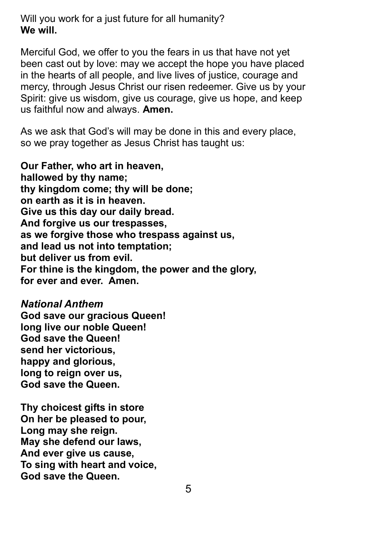Will you work for a just future for all humanity? **We will.**

Merciful God, we offer to you the fears in us that have not yet been cast out by love: may we accept the hope you have placed in the hearts of all people, and live lives of justice, courage and mercy, through Jesus Christ our risen redeemer. Give us by your Spirit: give us wisdom, give us courage, give us hope, and keep us faithful now and always. **Amen.**

As we ask that God's will may be done in this and every place, so we pray together as Jesus Christ has taught us:

**Our Father, who art in heaven, hallowed by thy name; thy kingdom come; thy will be done; on earth as it is in heaven. Give us this day our daily bread. And forgive us our trespasses, as we forgive those who trespass against us, and lead us not into temptation; but deliver us from evil. For thine is the kingdom, the power and the glory, for ever and ever. Amen.**

*National Anthem* **God save our gracious Queen! long live our noble Queen! God save the Queen! send her victorious, happy and glorious, long to reign over us, God save the Queen.**

**Thy choicest gifts in store On her be pleased to pour, Long may she reign. May she defend our laws, And ever give us cause, To sing with heart and voice, God save the Queen.**